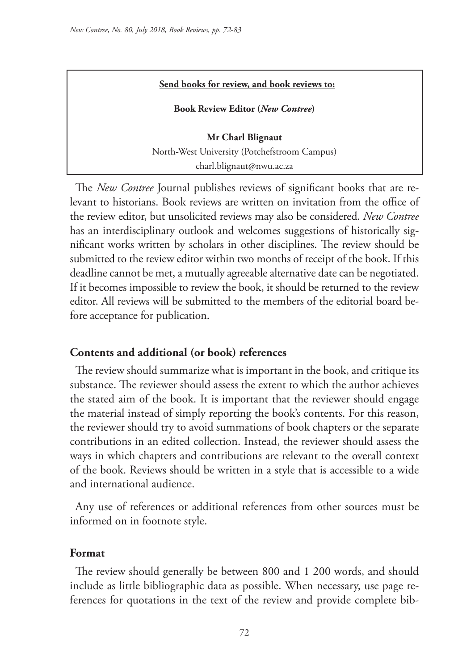#### **Send books for review, and book reviews to:**

**Book Review Editor (***New Contree***)** 

**Mr Charl Blignaut** North-West University (Potchefstroom Campus) charl.blignaut@nwu.ac.za

The *New Contree* Journal publishes reviews of significant books that are relevant to historians. Book reviews are written on invitation from the office of the review editor, but unsolicited reviews may also be considered. *New Contree*  has an interdisciplinary outlook and welcomes suggestions of historically significant works written by scholars in other disciplines. The review should be submitted to the review editor within two months of receipt of the book. If this deadline cannot be met, a mutually agreeable alternative date can be negotiated. If it becomes impossible to review the book, it should be returned to the review editor. All reviews will be submitted to the members of the editorial board before acceptance for publication.

### **Contents and additional (or book) references**

The review should summarize what is important in the book, and critique its substance. The reviewer should assess the extent to which the author achieves the stated aim of the book. It is important that the reviewer should engage the material instead of simply reporting the book's contents. For this reason, the reviewer should try to avoid summations of book chapters or the separate contributions in an edited collection. Instead, the reviewer should assess the ways in which chapters and contributions are relevant to the overall context of the book. Reviews should be written in a style that is accessible to a wide and international audience.

Any use of references or additional references from other sources must be informed on in footnote style.

#### **Format**

The review should generally be between 800 and 1 200 words, and should include as little bibliographic data as possible. When necessary, use page references for quotations in the text of the review and provide complete bib-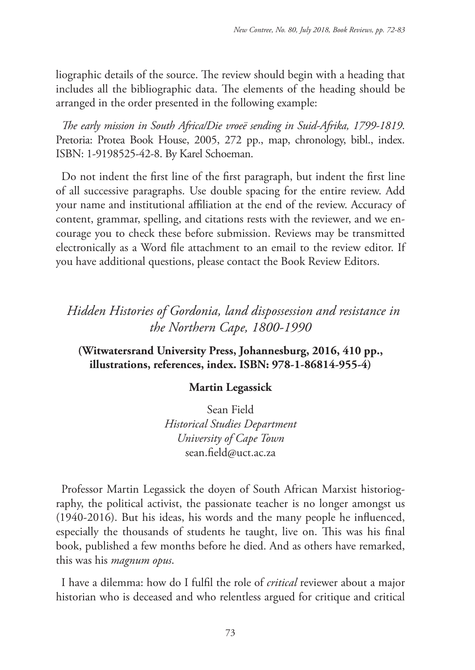liographic details of the source. The review should begin with a heading that includes all the bibliographic data. The elements of the heading should be arranged in the order presented in the following example:

*The early mission in South Africa/Die vroeë sending in Suid-Afrika, 1799-1819*. Pretoria: Protea Book House, 2005, 272 pp., map, chronology, bibl., index. ISBN: 1-9198525-42-8. By Karel Schoeman.

Do not indent the first line of the first paragraph, but indent the first line of all successive paragraphs. Use double spacing for the entire review. Add your name and institutional affiliation at the end of the review. Accuracy of content, grammar, spelling, and citations rests with the reviewer, and we encourage you to check these before submission. Reviews may be transmitted electronically as a Word file attachment to an email to the review editor. If you have additional questions, please contact the Book Review Editors.

## *Hidden Histories of Gordonia, land dispossession and resistance in the Northern Cape, 1800-1990*

## **(Witwatersrand University Press, Johannesburg, 2016, 410 pp., illustrations, references, index. ISBN: 978-1-86814-955-4)**

## **Martin Legassick**

Sean Field *Historical Studies Department University of Cape Town* sean.field@uct.ac.za

Professor Martin Legassick the doyen of South African Marxist historiography, the political activist, the passionate teacher is no longer amongst us (1940-2016). But his ideas, his words and the many people he influenced, especially the thousands of students he taught, live on. This was his final book, published a few months before he died. And as others have remarked, this was his *magnum opus*.

I have a dilemma: how do I fulfil the role of *critical* reviewer about a major historian who is deceased and who relentless argued for critique and critical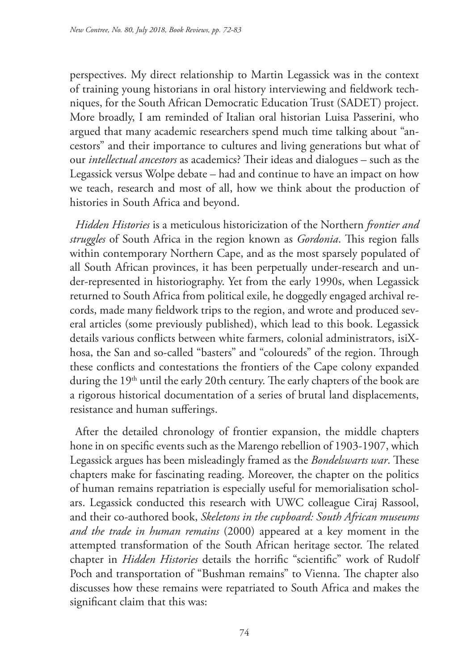perspectives. My direct relationship to Martin Legassick was in the context of training young historians in oral history interviewing and fieldwork techniques, for the South African Democratic Education Trust (SADET) project. More broadly, I am reminded of Italian oral historian Luisa Passerini, who argued that many academic researchers spend much time talking about "ancestors" and their importance to cultures and living generations but what of our *intellectual ancestors* as academics? Their ideas and dialogues – such as the Legassick versus Wolpe debate – had and continue to have an impact on how we teach, research and most of all, how we think about the production of histories in South Africa and beyond.

*Hidden Histories* is a meticulous historicization of the Northern *frontier and struggles* of South Africa in the region known as *Gordonia*. This region falls within contemporary Northern Cape, and as the most sparsely populated of all South African provinces, it has been perpetually under-research and under-represented in historiography. Yet from the early 1990s, when Legassick returned to South Africa from political exile, he doggedly engaged archival records, made many fieldwork trips to the region, and wrote and produced several articles (some previously published), which lead to this book. Legassick details various conflicts between white farmers, colonial administrators, isiXhosa, the San and so-called "basters" and "coloureds" of the region. Through these conflicts and contestations the frontiers of the Cape colony expanded during the 19<sup>th</sup> until the early 20th century. The early chapters of the book are a rigorous historical documentation of a series of brutal land displacements, resistance and human sufferings.

After the detailed chronology of frontier expansion, the middle chapters hone in on specific events such as the Marengo rebellion of 1903-1907, which Legassick argues has been misleadingly framed as the *Bondelswarts war*. These chapters make for fascinating reading. Moreover, the chapter on the politics of human remains repatriation is especially useful for memorialisation scholars. Legassick conducted this research with UWC colleague Ciraj Rassool, and their co-authored book, *Skeletons in the cupboard: South African museums and the trade in human remains* (2000) appeared at a key moment in the attempted transformation of the South African heritage sector. The related chapter in *Hidden Histories* details the horrific "scientific" work of Rudolf Poch and transportation of "Bushman remains" to Vienna. The chapter also discusses how these remains were repatriated to South Africa and makes the significant claim that this was: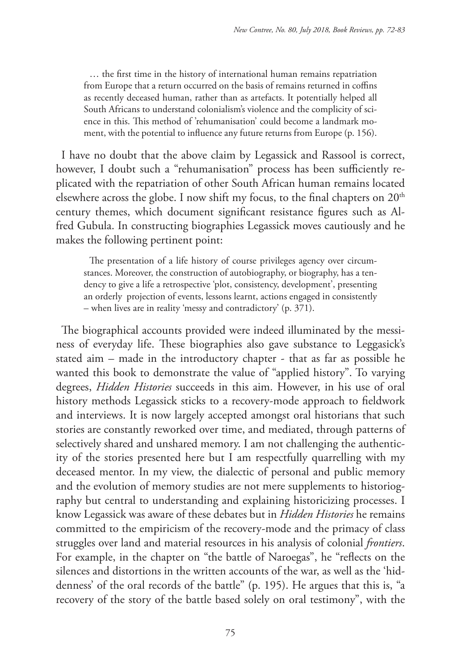… the first time in the history of international human remains repatriation from Europe that a return occurred on the basis of remains returned in coffins as recently deceased human, rather than as artefacts. It potentially helped all South Africans to understand colonialism's violence and the complicity of science in this. This method of 'rehumanisation' could become a landmark moment, with the potential to influence any future returns from Europe (p. 156).

I have no doubt that the above claim by Legassick and Rassool is correct, however, I doubt such a "rehumanisation" process has been sufficiently replicated with the repatriation of other South African human remains located elsewhere across the globe. I now shift my focus, to the final chapters on 20<sup>th</sup> century themes, which document significant resistance figures such as Alfred Gubula. In constructing biographies Legassick moves cautiously and he makes the following pertinent point:

The presentation of a life history of course privileges agency over circumstances. Moreover, the construction of autobiography, or biography, has a tendency to give a life a retrospective 'plot, consistency, development', presenting an orderly projection of events, lessons learnt, actions engaged in consistently – when lives are in reality 'messy and contradictory' (p. 371).

The biographical accounts provided were indeed illuminated by the messiness of everyday life. These biographies also gave substance to Leggasick's stated aim – made in the introductory chapter - that as far as possible he wanted this book to demonstrate the value of "applied history". To varying degrees, *Hidden Histories* succeeds in this aim. However, in his use of oral history methods Legassick sticks to a recovery-mode approach to fieldwork and interviews. It is now largely accepted amongst oral historians that such stories are constantly reworked over time, and mediated, through patterns of selectively shared and unshared memory. I am not challenging the authenticity of the stories presented here but I am respectfully quarrelling with my deceased mentor. In my view, the dialectic of personal and public memory and the evolution of memory studies are not mere supplements to historiography but central to understanding and explaining historicizing processes. I know Legassick was aware of these debates but in *Hidden Histories* he remains committed to the empiricism of the recovery-mode and the primacy of class struggles over land and material resources in his analysis of colonial *frontiers*. For example, in the chapter on "the battle of Naroegas", he "reflects on the silences and distortions in the written accounts of the war, as well as the 'hiddenness' of the oral records of the battle" (p. 195). He argues that this is, "a recovery of the story of the battle based solely on oral testimony", with the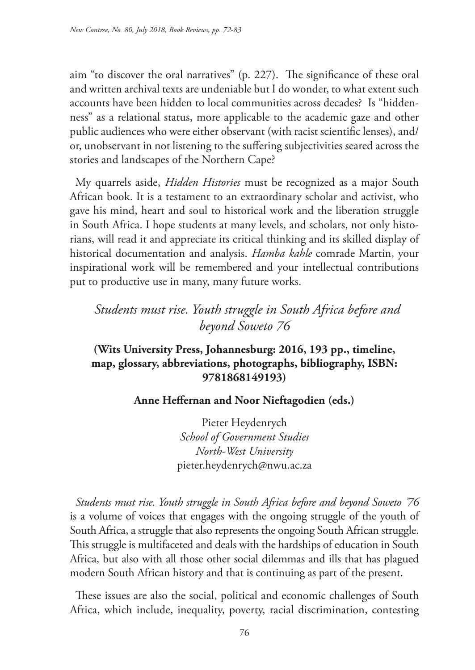aim "to discover the oral narratives" (p. 227). The significance of these oral and written archival texts are undeniable but I do wonder, to what extent such accounts have been hidden to local communities across decades? Is "hiddenness" as a relational status, more applicable to the academic gaze and other public audiences who were either observant (with racist scientific lenses), and/ or, unobservant in not listening to the suffering subjectivities seared across the stories and landscapes of the Northern Cape?

My quarrels aside, *Hidden Histories* must be recognized as a major South African book. It is a testament to an extraordinary scholar and activist, who gave his mind, heart and soul to historical work and the liberation struggle in South Africa. I hope students at many levels, and scholars, not only historians, will read it and appreciate its critical thinking and its skilled display of historical documentation and analysis. *Hamba kahle* comrade Martin, your inspirational work will be remembered and your intellectual contributions put to productive use in many, many future works.

*Students must rise. Youth struggle in South Africa before and beyond Soweto 76*

## **(Wits University Press, Johannesburg: 2016, 193 pp., timeline, map, glossary, abbreviations, photographs, bibliography, ISBN: 9781868149193)**

### **Anne Heffernan and Noor Nieftagodien (eds.)**

Pieter Heydenrych *School of Government Studies North-West University* pieter.heydenrych@nwu.ac.za

*Students must rise. Youth struggle in South Africa before and beyond Soweto '76* is a volume of voices that engages with the ongoing struggle of the youth of South Africa, a struggle that also represents the ongoing South African struggle. This struggle is multifaceted and deals with the hardships of education in South Africa, but also with all those other social dilemmas and ills that has plagued modern South African history and that is continuing as part of the present.

These issues are also the social, political and economic challenges of South Africa, which include, inequality, poverty, racial discrimination, contesting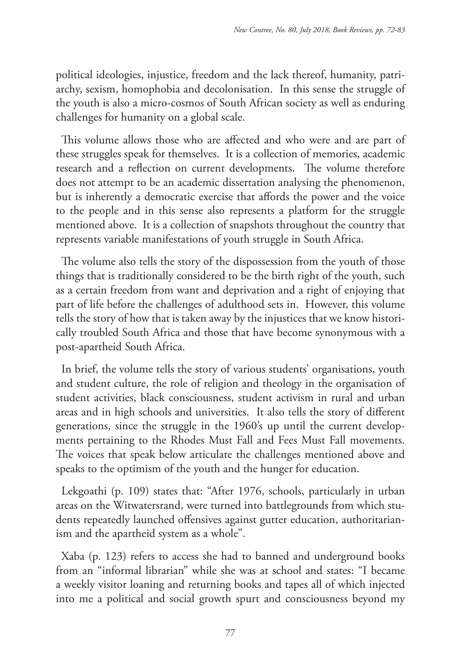political ideologies, injustice, freedom and the lack thereof, humanity, patriarchy, sexism, homophobia and decolonisation. In this sense the struggle of the youth is also a micro-cosmos of South African society as well as enduring challenges for humanity on a global scale.

This volume allows those who are affected and who were and are part of these struggles speak for themselves. It is a collection of memories, academic research and a reflection on current developments. The volume therefore does not attempt to be an academic dissertation analysing the phenomenon, but is inherently a democratic exercise that affords the power and the voice to the people and in this sense also represents a platform for the struggle mentioned above. It is a collection of snapshots throughout the country that represents variable manifestations of youth struggle in South Africa.

The volume also tells the story of the dispossession from the youth of those things that is traditionally considered to be the birth right of the youth, such as a certain freedom from want and deprivation and a right of enjoying that part of life before the challenges of adulthood sets in. However, this volume tells the story of how that is taken away by the injustices that we know historically troubled South Africa and those that have become synonymous with a post-apartheid South Africa.

In brief, the volume tells the story of various students' organisations, youth and student culture, the role of religion and theology in the organisation of student activities, black consciousness, student activism in rural and urban areas and in high schools and universities. It also tells the story of different generations, since the struggle in the 1960's up until the current developments pertaining to the Rhodes Must Fall and Fees Must Fall movements. The voices that speak below articulate the challenges mentioned above and speaks to the optimism of the youth and the hunger for education.

Lekgoathi (p. 109) states that: "After 1976, schools, particularly in urban areas on the Witwatersrand, were turned into battlegrounds from which students repeatedly launched offensives against gutter education, authoritarianism and the apartheid system as a whole".

Xaba (p. 123) refers to access she had to banned and underground books from an "informal librarian" while she was at school and states: "I became a weekly visitor loaning and returning books and tapes all of which injected into me a political and social growth spurt and consciousness beyond my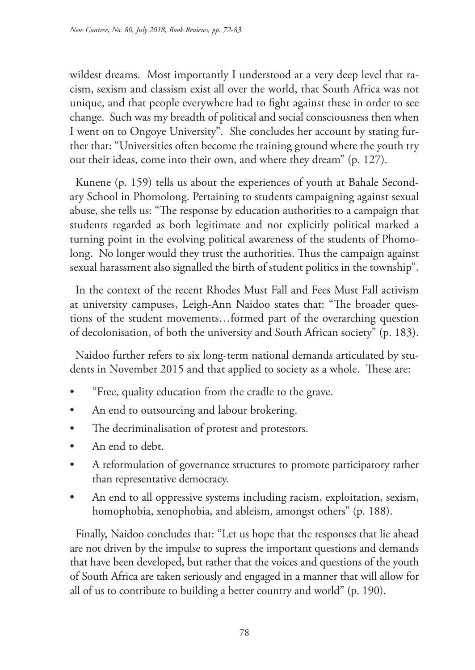wildest dreams. Most importantly I understood at a very deep level that racism, sexism and classism exist all over the world, that South Africa was not unique, and that people everywhere had to fight against these in order to see change. Such was my breadth of political and social consciousness then when I went on to Ongoye University". She concludes her account by stating further that: "Universities often become the training ground where the youth try out their ideas, come into their own, and where they dream" (p. 127).

Kunene (p. 159) tells us about the experiences of youth at Bahale Secondary School in Phomolong. Pertaining to students campaigning against sexual abuse, she tells us: "The response by education authorities to a campaign that students regarded as both legitimate and not explicitly political marked a turning point in the evolving political awareness of the students of Phomolong. No longer would they trust the authorities. Thus the campaign against sexual harassment also signalled the birth of student politics in the township".

In the context of the recent Rhodes Must Fall and Fees Must Fall activism at university campuses, Leigh-Ann Naidoo states that: "The broader questions of the student movements…formed part of the overarching question of decolonisation, of both the university and South African society" (p. 183).

Naidoo further refers to six long-term national demands articulated by students in November 2015 and that applied to society as a whole. These are:

- "Free, quality education from the cradle to the grave.
- An end to outsourcing and labour brokering.
- The decriminalisation of protest and protestors.
- An end to debt.
- A reformulation of governance structures to promote participatory rather than representative democracy.
- An end to all oppressive systems including racism, exploitation, sexism, homophobia, xenophobia, and ableism, amongst others" (p. 188).

Finally, Naidoo concludes that: "Let us hope that the responses that lie ahead are not driven by the impulse to supress the important questions and demands that have been developed, but rather that the voices and questions of the youth of South Africa are taken seriously and engaged in a manner that will allow for all of us to contribute to building a better country and world" (p. 190).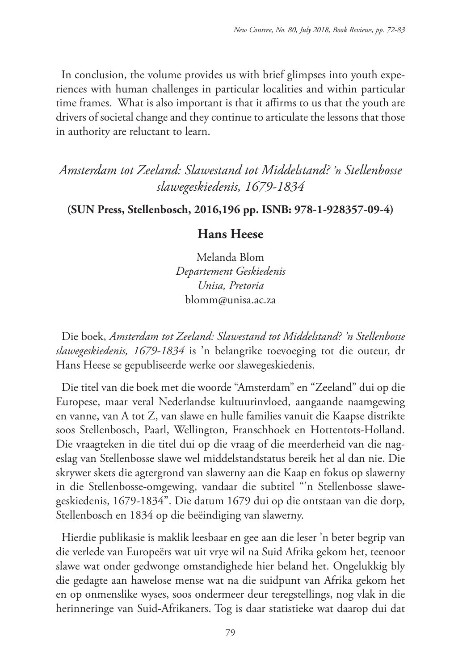In conclusion, the volume provides us with brief glimpses into youth experiences with human challenges in particular localities and within particular time frames. What is also important is that it affirms to us that the youth are drivers of societal change and they continue to articulate the lessons that those in authority are reluctant to learn.

*Amsterdam tot Zeeland: Slawestand tot Middelstand? 'n Stellenbosse slawegeskiedenis, 1679-1834*

#### **(SUN Press, Stellenbosch, 2016,196 pp. ISNB: 978-1-928357-09-4)**

### **Hans Heese**

Melanda Blom *Departement Geskiedenis Unisa, Pretoria* blomm@unisa.ac.za

Die boek, *Amsterdam tot Zeeland: Slawestand tot Middelstand? 'n Stellenbosse slawegeskiedenis, 1679-1834* is 'n belangrike toevoeging tot die outeur, dr Hans Heese se gepubliseerde werke oor slawegeskiedenis.

Die titel van die boek met die woorde "Amsterdam" en "Zeeland" dui op die Europese, maar veral Nederlandse kultuurinvloed, aangaande naamgewing en vanne, van A tot Z, van slawe en hulle families vanuit die Kaapse distrikte soos Stellenbosch, Paarl, Wellington, Franschhoek en Hottentots-Holland. Die vraagteken in die titel dui op die vraag of die meerderheid van die nageslag van Stellenbosse slawe wel middelstandstatus bereik het al dan nie. Die skrywer skets die agtergrond van slawerny aan die Kaap en fokus op slawerny in die Stellenbosse-omgewing, vandaar die subtitel "'n Stellenbosse slawegeskiedenis, 1679-1834". Die datum 1679 dui op die ontstaan van die dorp, Stellenbosch en 1834 op die beëindiging van slawerny.

Hierdie publikasie is maklik leesbaar en gee aan die leser 'n beter begrip van die verlede van Europeërs wat uit vrye wil na Suid Afrika gekom het, teenoor slawe wat onder gedwonge omstandighede hier beland het. Ongelukkig bly die gedagte aan hawelose mense wat na die suidpunt van Afrika gekom het en op onmenslike wyses, soos ondermeer deur teregstellings, nog vlak in die herinneringe van Suid-Afrikaners. Tog is daar statistieke wat daarop dui dat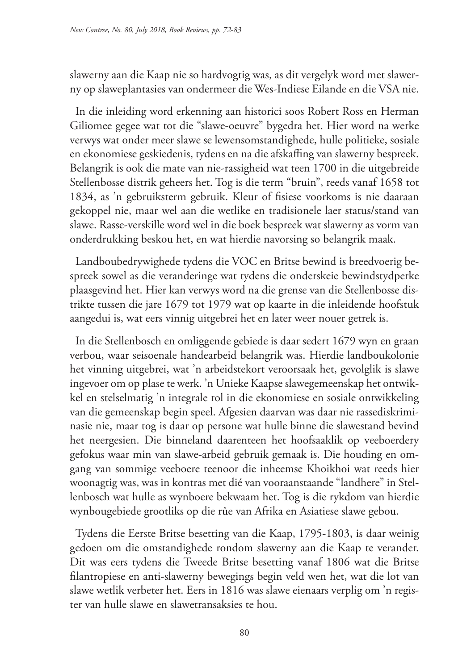slawerny aan die Kaap nie so hardvogtig was, as dit vergelyk word met slawerny op slaweplantasies van ondermeer die Wes-Indiese Eilande en die VSA nie.

In die inleiding word erkenning aan historici soos Robert Ross en Herman Giliomee gegee wat tot die "slawe-oeuvre" bygedra het. Hier word na werke verwys wat onder meer slawe se lewensomstandighede, hulle politieke, sosiale en ekonomiese geskiedenis, tydens en na die afskaffing van slawerny bespreek. Belangrik is ook die mate van nie-rassigheid wat teen 1700 in die uitgebreide Stellenbosse distrik geheers het. Tog is die term "bruin", reeds vanaf 1658 tot 1834, as 'n gebruiksterm gebruik. Kleur of fisiese voorkoms is nie daaraan gekoppel nie, maar wel aan die wetlike en tradisionele laer status/stand van slawe. Rasse-verskille word wel in die boek bespreek wat slawerny as vorm van onderdrukking beskou het, en wat hierdie navorsing so belangrik maak.

Landboubedrywighede tydens die VOC en Britse bewind is breedvoerig bespreek sowel as die veranderinge wat tydens die onderskeie bewindstydperke plaasgevind het. Hier kan verwys word na die grense van die Stellenbosse distrikte tussen die jare 1679 tot 1979 wat op kaarte in die inleidende hoofstuk aangedui is, wat eers vinnig uitgebrei het en later weer nouer getrek is.

In die Stellenbosch en omliggende gebiede is daar sedert 1679 wyn en graan verbou, waar seisoenale handearbeid belangrik was. Hierdie landboukolonie het vinning uitgebrei, wat 'n arbeidstekort veroorsaak het, gevolglik is slawe ingevoer om op plase te werk. 'n Unieke Kaapse slawegemeenskap het ontwikkel en stelselmatig 'n integrale rol in die ekonomiese en sosiale ontwikkeling van die gemeenskap begin speel. Afgesien daarvan was daar nie rassediskriminasie nie, maar tog is daar op persone wat hulle binne die slawestand bevind het neergesien. Die binneland daarenteen het hoofsaaklik op veeboerdery gefokus waar min van slawe-arbeid gebruik gemaak is. Die houding en omgang van sommige veeboere teenoor die inheemse Khoikhoi wat reeds hier woonagtig was, was in kontras met dié van vooraanstaande "landhere" in Stellenbosch wat hulle as wynboere bekwaam het. Tog is die rykdom van hierdie wynbougebiede grootliks op die rûe van Afrika en Asiatiese slawe gebou.

Tydens die Eerste Britse besetting van die Kaap, 1795-1803, is daar weinig gedoen om die omstandighede rondom slawerny aan die Kaap te verander. Dit was eers tydens die Tweede Britse besetting vanaf 1806 wat die Britse filantropiese en anti-slawerny bewegings begin veld wen het, wat die lot van slawe wetlik verbeter het. Eers in 1816 was slawe eienaars verplig om 'n register van hulle slawe en slawetransaksies te hou.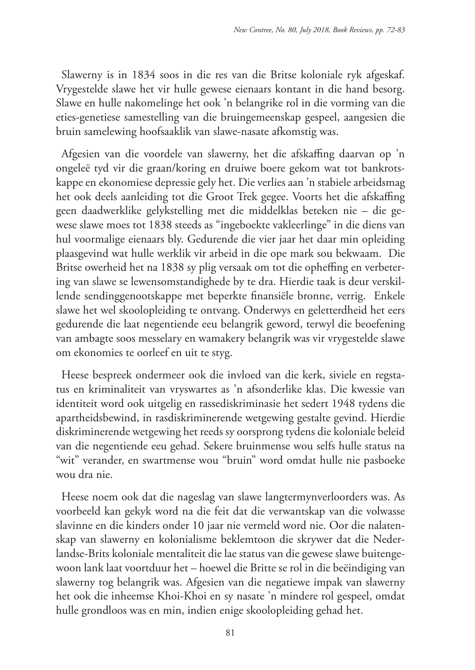Slawerny is in 1834 soos in die res van die Britse koloniale ryk afgeskaf. Vrygestelde slawe het vir hulle gewese eienaars kontant in die hand besorg. Slawe en hulle nakomelinge het ook 'n belangrike rol in die vorming van die eties-genetiese samestelling van die bruingemeenskap gespeel, aangesien die bruin samelewing hoofsaaklik van slawe-nasate afkomstig was.

Afgesien van die voordele van slawerny, het die afskaffing daarvan op 'n ongeleë tyd vir die graan/koring en druiwe boere gekom wat tot bankrotskappe en ekonomiese depressie gely het. Die verlies aan 'n stabiele arbeidsmag het ook deels aanleiding tot die Groot Trek gegee. Voorts het die afskaffing geen daadwerklike gelykstelling met die middelklas beteken nie – die gewese slawe moes tot 1838 steeds as "ingeboekte vakleerlinge" in die diens van hul voormalige eienaars bly. Gedurende die vier jaar het daar min opleiding plaasgevind wat hulle werklik vir arbeid in die ope mark sou bekwaam. Die Britse owerheid het na 1838 sy plig versaak om tot die opheffing en verbetering van slawe se lewensomstandighede by te dra. Hierdie taak is deur verskillende sendinggenootskappe met beperkte finansiële bronne, verrig. Enkele slawe het wel skoolopleiding te ontvang. Onderwys en geletterdheid het eers gedurende die laat negentiende eeu belangrik geword, terwyl die beoefening van ambagte soos messelary en wamakery belangrik was vir vrygestelde slawe om ekonomies te oorleef en uit te styg.

Heese bespreek ondermeer ook die invloed van die kerk, siviele en regstatus en kriminaliteit van vryswartes as 'n afsonderlike klas. Die kwessie van identiteit word ook uitgelig en rassediskriminasie het sedert 1948 tydens die apartheidsbewind, in rasdiskriminerende wetgewing gestalte gevind. Hierdie diskriminerende wetgewing het reeds sy oorsprong tydens die koloniale beleid van die negentiende eeu gehad. Sekere bruinmense wou selfs hulle status na "wit" verander, en swartmense wou "bruin" word omdat hulle nie pasboeke wou dra nie.

Heese noem ook dat die nageslag van slawe langtermynverloorders was. As voorbeeld kan gekyk word na die feit dat die verwantskap van die volwasse slavinne en die kinders onder 10 jaar nie vermeld word nie. Oor die nalatenskap van slawerny en kolonialisme beklemtoon die skrywer dat die Nederlandse-Brits koloniale mentaliteit die lae status van die gewese slawe buitengewoon lank laat voortduur het – hoewel die Britte se rol in die beëindiging van slawerny tog belangrik was. Afgesien van die negatiewe impak van slawerny het ook die inheemse Khoi-Khoi en sy nasate 'n mindere rol gespeel, omdat hulle grondloos was en min, indien enige skoolopleiding gehad het.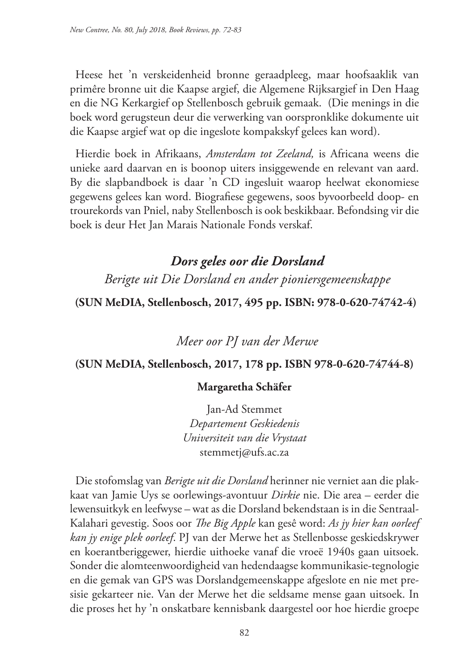Heese het 'n verskeidenheid bronne geraadpleeg, maar hoofsaaklik van primêre bronne uit die Kaapse argief, die Algemene Rijksargief in Den Haag en die NG Kerkargief op Stellenbosch gebruik gemaak. (Die menings in die boek word gerugsteun deur die verwerking van oorspronklike dokumente uit die Kaapse argief wat op die ingeslote kompakskyf gelees kan word).

Hierdie boek in Afrikaans, *Amsterdam tot Zeeland,* is Africana weens die unieke aard daarvan en is boonop uiters insiggewende en relevant van aard. By die slapbandboek is daar 'n CD ingesluit waarop heelwat ekonomiese gegewens gelees kan word. Biografiese gegewens, soos byvoorbeeld doop- en trourekords van Pniel, naby Stellenbosch is ook beskikbaar. Befondsing vir die boek is deur Het Jan Marais Nationale Fonds verskaf.

# *Dors geles oor die Dorsland Berigte uit Die Dorsland en ander pioniersgemeenskappe*

### **(SUN MeDIA, Stellenbosch, 2017, 495 pp. ISBN: 978-0-620-74742-4)**

*Meer oor PJ van der Merwe*

### **(SUN MeDIA, Stellenbosch, 2017, 178 pp. ISBN 978-0-620-74744-8)**

### **Margaretha Schäfer**

Jan-Ad Stemmet *Departement Geskiedenis Universiteit van die Vrystaat* stemmetj@ufs.ac.za

Die stofomslag van *Berigte uit die Dorsland* herinner nie verniet aan die plakkaat van Jamie Uys se oorlewings-avontuur *Dirkie* nie. Die area – eerder die lewensuitkyk en leefwyse – wat as die Dorsland bekendstaan is in die Sentraal-Kalahari gevestig. Soos oor *The Big Apple* kan gesê word: *As jy hier kan oorleef kan jy enige plek oorleef*. PJ van der Merwe het as Stellenbosse geskiedskrywer en koerantberiggewer, hierdie uithoeke vanaf die vroeë 1940s gaan uitsoek. Sonder die alomteenwoordigheid van hedendaagse kommunikasie-tegnologie en die gemak van GPS was Dorslandgemeenskappe afgeslote en nie met presisie gekarteer nie. Van der Merwe het die seldsame mense gaan uitsoek. In die proses het hy 'n onskatbare kennisbank daargestel oor hoe hierdie groepe